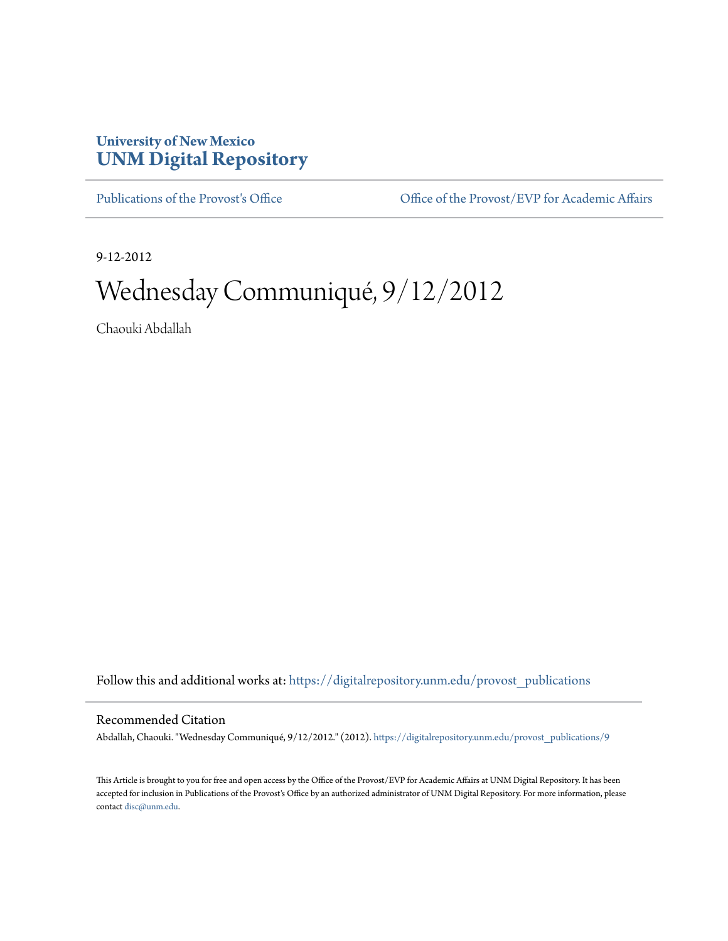## **University of New Mexico [UNM Digital Repository](https://digitalrepository.unm.edu?utm_source=digitalrepository.unm.edu%2Fprovost_publications%2F9&utm_medium=PDF&utm_campaign=PDFCoverPages)**

[Publications of the Provost's Office](https://digitalrepository.unm.edu/provost_publications?utm_source=digitalrepository.unm.edu%2Fprovost_publications%2F9&utm_medium=PDF&utm_campaign=PDFCoverPages) Office [Office of the Provost/EVP for Academic Affairs](https://digitalrepository.unm.edu/ofc_provost?utm_source=digitalrepository.unm.edu%2Fprovost_publications%2F9&utm_medium=PDF&utm_campaign=PDFCoverPages)

9-12-2012

# Wednesday Communiqué, 9/12/2012

Chaouki Abdallah

Follow this and additional works at: [https://digitalrepository.unm.edu/provost\\_publications](https://digitalrepository.unm.edu/provost_publications?utm_source=digitalrepository.unm.edu%2Fprovost_publications%2F9&utm_medium=PDF&utm_campaign=PDFCoverPages)

#### Recommended Citation

Abdallah, Chaouki. "Wednesday Communiqué, 9/12/2012." (2012). [https://digitalrepository.unm.edu/provost\\_publications/9](https://digitalrepository.unm.edu/provost_publications/9?utm_source=digitalrepository.unm.edu%2Fprovost_publications%2F9&utm_medium=PDF&utm_campaign=PDFCoverPages)

This Article is brought to you for free and open access by the Office of the Provost/EVP for Academic Affairs at UNM Digital Repository. It has been accepted for inclusion in Publications of the Provost's Office by an authorized administrator of UNM Digital Repository. For more information, please contact [disc@unm.edu.](mailto:disc@unm.edu)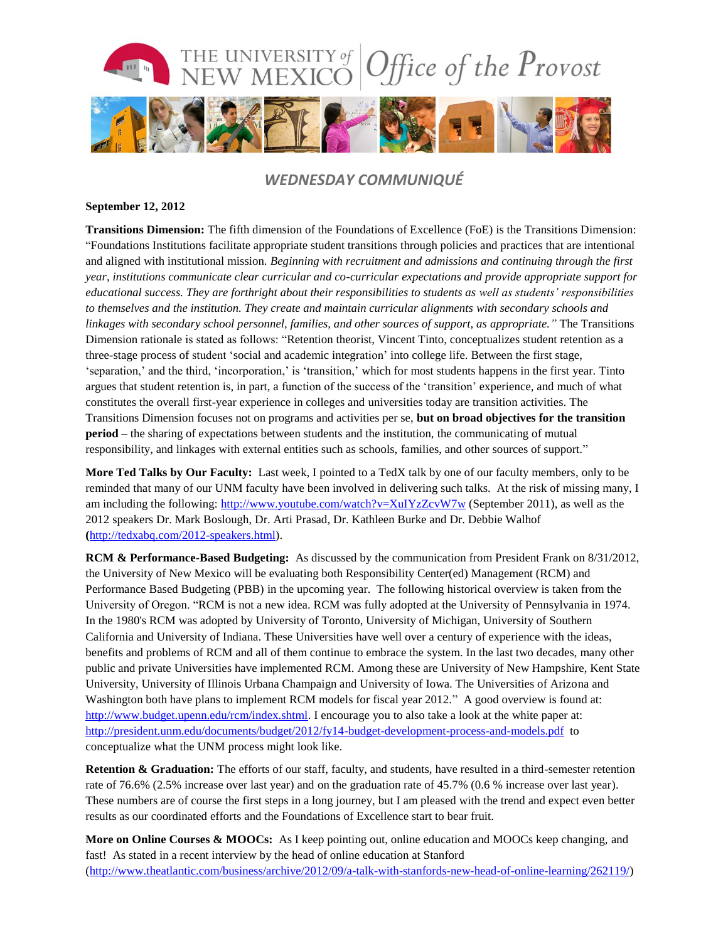

### *WEDNESDAY COMMUNIQUÉ*

#### **September 12, 2012**

**Transitions Dimension:** The fifth dimension of the Foundations of Excellence (FoE) is the Transitions Dimension: "Foundations Institutions facilitate appropriate student transitions through policies and practices that are intentional and aligned with institutional mission. *Beginning with recruitment and admissions and continuing through the first year, institutions communicate clear curricular and co-curricular expectations and provide appropriate support for educational success. They are forthright about their responsibilities to students as well as students' responsibilities to themselves and the institution. They create and maintain curricular alignments with secondary schools and linkages with secondary school personnel, families, and other sources of support, as appropriate."* The Transitions Dimension rationale is stated as follows: "Retention theorist, Vincent Tinto, conceptualizes student retention as a three-stage process of student 'social and academic integration' into college life. Between the first stage, 'separation,' and the third, 'incorporation,' is 'transition,' which for most students happens in the first year. Tinto argues that student retention is, in part, a function of the success of the 'transition' experience, and much of what constitutes the overall first-year experience in colleges and universities today are transition activities. The Transitions Dimension focuses not on programs and activities per se, **but on broad objectives for the transition period** – the sharing of expectations between students and the institution, the communicating of mutual responsibility, and linkages with external entities such as schools, families, and other sources of support."

**More Ted Talks by Our Faculty:** Last week, I pointed to a TedX talk by one of our faculty members, only to be reminded that many of our UNM faculty have been involved in delivering such talks. At the risk of missing many, I am including the following:<http://www.youtube.com/watch?v=XuIYzZcvW7w> (September 2011), as well as the 2012 speakers Dr. Mark Boslough, Dr. Arti Prasad, Dr. Kathleen Burke and Dr. Debbie Walhof **(**[http://tedxabq.com/2012-speakers.html\)](http://tedxabq.com/2012-speakers.html).

**RCM & Performance-Based Budgeting:** As discussed by the communication from President Frank on 8/31/2012, the University of New Mexico will be evaluating both Responsibility Center(ed) Management (RCM) and Performance Based Budgeting (PBB) in the upcoming year. The following historical overview is taken from the University of Oregon. "RCM is not a new idea. RCM was fully adopted at the University of Pennsylvania in 1974. In the 1980's RCM was adopted by University of Toronto, University of Michigan, University of Southern California and University of Indiana. These Universities have well over a century of experience with the ideas, benefits and problems of RCM and all of them continue to embrace the system. In the last two decades, many other public and private Universities have implemented RCM. Among these are University of New Hampshire, Kent State University, University of Illinois Urbana Champaign and University of Iowa. The Universities of Arizona and Washington both have plans to implement RCM models for fiscal year 2012." A good overview is found at: [http://www.budget.upenn.edu/rcm/index.shtml.](http://www.budget.upenn.edu/rcm/index.shtml) I encourage you to also take a look at the white paper at: <http://president.unm.edu/documents/budget/2012/fy14-budget-development-process-and-models.pdf> to conceptualize what the UNM process might look like.

**Retention & Graduation:** The efforts of our staff, faculty, and students, have resulted in a third-semester retention rate of 76.6% (2.5% increase over last year) and on the graduation rate of 45.7% (0.6 % increase over last year). These numbers are of course the first steps in a long journey, but I am pleased with the trend and expect even better results as our coordinated efforts and the Foundations of Excellence start to bear fruit.

**More on Online Courses & MOOCs:** As I keep pointing out, online education and MOOCs keep changing, and fast! As stated in a recent interview by the head of online education at Stanford [\(http://www.theatlantic.com/business/archive/2012/09/a-talk-with-stanfords-new-head-of-online-learning/262119/\)](http://www.theatlantic.com/business/archive/2012/09/a-talk-with-stanfords-new-head-of-online-learning/262119/)